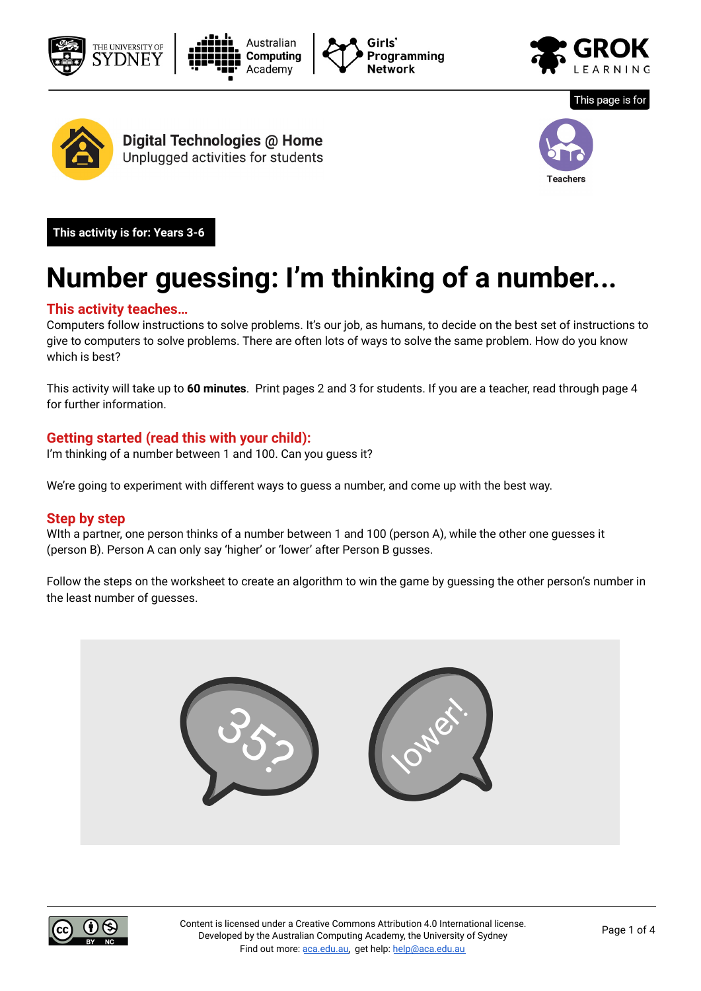











Digital Technologies @ Home Unplugged activities for students



**This activity is for: Years 3-6** 

# **Number guessing: I'm thinking of a number...**

#### **This activity teaches…**

Computers follow instructions to solve problems. It's our job, as humans, to decide on the best set of instructions to give to computers to solve problems. There are often lots of ways to solve the same problem. How do you know which is best?

This activity will take up to **60 minutes**. Print pages 2 and 3 for students. If you are a teacher, read through page 4 for further information.

#### **Getting started (read this with your child):**

I'm thinking of a number between 1 and 100. Can you guess it?

We're going to experiment with different ways to guess a number, and come up with the best way.

#### **Step by step**

WIth a partner, one person thinks of a number between 1 and 100 (person A), while the other one guesses it (person B). Person A can only say 'higher' or 'lower' after Person B gusses.

Follow the steps on the worksheet to create an algorithm to win the game by guessing the other person's number in the least number of guesses.



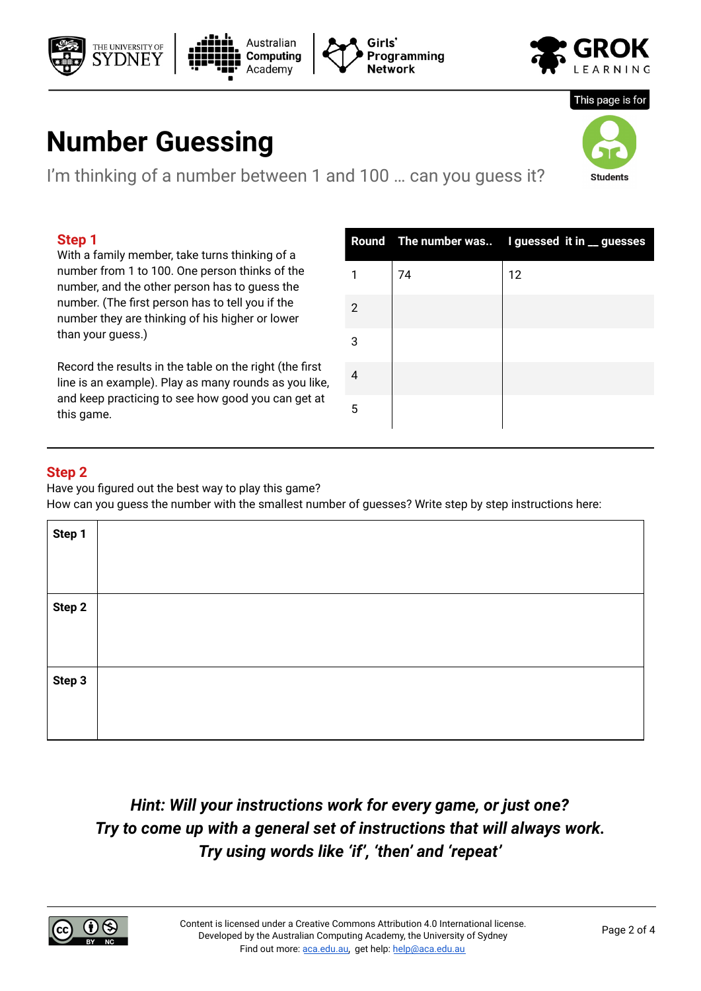# **Number Guessing**

THE UNIVERSITY OF

I'm thinking of a number between 1 and 100 ... can you guess it?

Australian

**Computing** Academy

## **Step 1**

With a family member, take turns thinking of a number from 1 to 100. One person thinks of the number, and the other person has to guess the number. (The first person has to tell you if the number they are thinking of his higher or lower than your guess.)

Record the results in the table on the right (the first line is an example). Play as many rounds as you like, and keep practicing to see how good you can get at this game.

| Step 2                                               |  |  |
|------------------------------------------------------|--|--|
| Have you figured out the best way to play this game? |  |  |

How can you guess the number with the smallest number of guesses? Write step by step instructions here:

2

Girls'

Network

Programming

3

4

5

| Hint: Will your instructions work for every game, or just one?           |  |  |
|--------------------------------------------------------------------------|--|--|
| Try to come up with a general set of instructions that will always work. |  |  |
| Try using words like 'if', 'then' and 'repeat'                           |  |  |

# **Step**

**Step 1 Step 2 Step 3** 







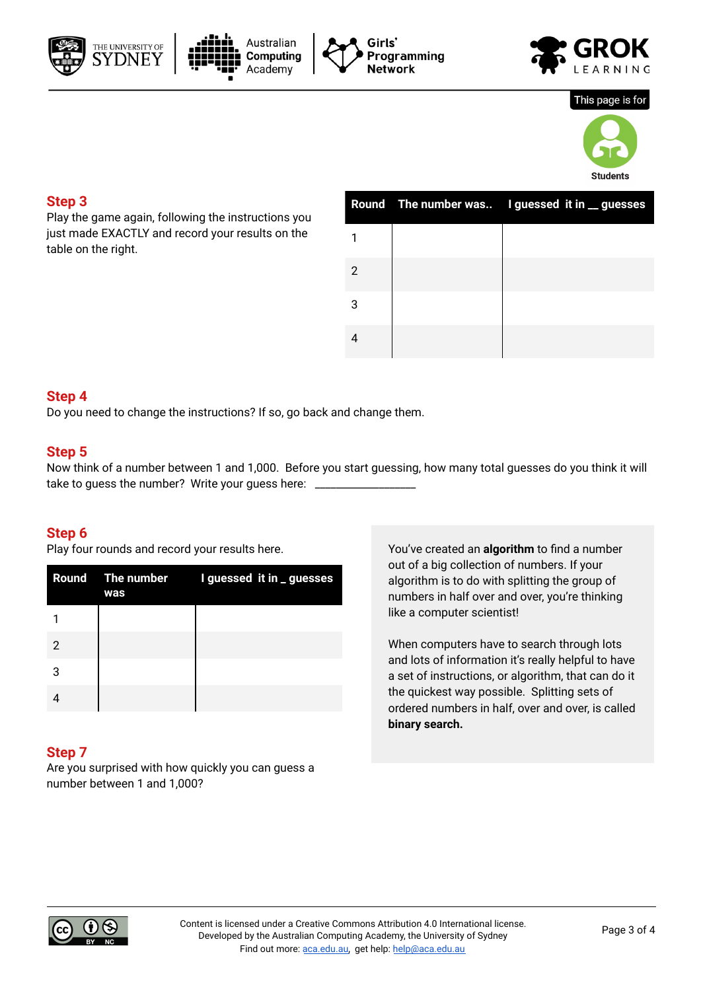







#### This page is for



#### **Step 3**

Play the game again, following the instructions you just made EXACTLY and record your results on the table on the right.

|   | Round The number was I guessed it in _ guesses |
|---|------------------------------------------------|
|   |                                                |
| 2 |                                                |
| 3 |                                                |
|   |                                                |

### **Step 4**

Do you need to change the instructions? If so, go back and change them.

#### **Step 5**

Now think of a number between 1 and 1,000. Before you start guessing, how many total guesses do you think it will take to guess the number? Write your guess here: \_\_

#### **Step 6**

Play four rounds and record your results here.

|   | was | Round The number I guessed it in _ guesses |
|---|-----|--------------------------------------------|
|   |     |                                            |
| 2 |     |                                            |
| 3 |     |                                            |
|   |     |                                            |

### **Step 7**

Are you surprised with how quickly you can guess a number between 1 and 1,000?

You've created an **algorithm** to find a number out of a big collection of numbers. If your algorithm is to do with splitting the group of numbers in half over and over, you're thinking like a computer scientist!

When computers have to search through lots and lots of information it's really helpful to have a set of instructions, or algorithm, that can do it the quickest way possible. Splitting sets of ordered numbers in half, over and over, is called **binary search.**